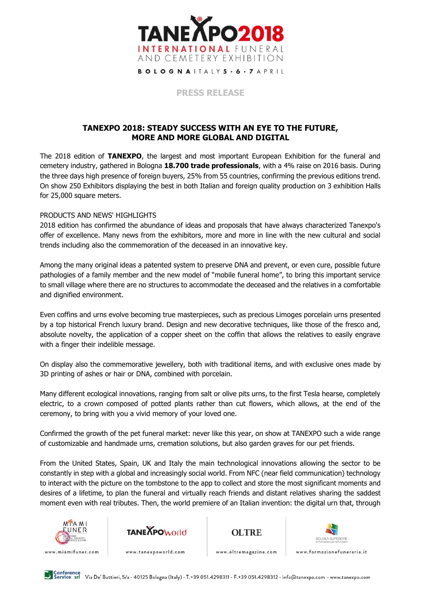

**BOLOGNAITALY5 . 6 . 7 APRIL** 

**PRESS RELEASE**

## **TANEXPO 2018: STEADY SUCCESS WITH AN EYE TO THE FUTURE, MORE AND MORE GLOBAL AND DIGITAL**

The 2018 edition of **TANEXPO**, the largest and most important European Exhibition for the funeral and cemetery industry, gathered in Bologna **18.700 trade professionals**, with a 4% raise on 2016 basis. During the three days high presence of foreign buyers, 25% from 55 countries, confirming the previous editions trend. On show 250 Exhibitors displaying the best in both Italian and foreign quality production on 3 exhibition Halls for 25,000 square meters.

## PRODUCTS AND NEWS' HIGHLIGHTS

2018 edition has confirmed the abundance of ideas and proposals that have always characterized Tanexpo's offer of excellence. Many news from the exhibitors, more and more in line with the new cultural and social trends including also the commemoration of the deceased in an innovative key.

Among the many original ideas a patented system to preserve DNA and prevent, or even cure, possible future pathologies of a family member and the new model of "mobile funeral home", to bring this important service to small village where there are no structures to accommodate the deceased and the relatives in a comfortable and dignified environment.

Even coffins and urns evolve becoming true masterpieces, such as precious Limoges porcelain urns presented by a top historical French luxury brand. Design and new decorative techniques, like those of the fresco and, absolute novelty, the application of a copper sheet on the coffin that allows the relatives to easily engrave with a finger their indelible message.

On display also the commemorative jewellery, both with traditional items, and with exclusive ones made by 3D printing of ashes or hair or DNA, combined with porcelain.

Many different ecological innovations, ranging from salt or olive pits urns, to the first Tesla hearse, completely electric, to a crown composed of potted plants rather than cut flowers, which allows, at the end of the ceremony, to bring with you a vivid memory of your loved one.

Confirmed the growth of the pet funeral market: never like this year, on show at TANEXPO such a wide range of customizable and handmade urns, cremation solutions, but also garden graves for our pet friends.

From the United States, Spain, UK and Italy the main technological innovations allowing the sector to be constantly in step with a global and increasingly social world. From NFC (near field communication) technology to interact with the picture on the tombstone to the app to collect and store the most significant moments and desires of a lifetime, to plan the funeral and virtually reach friends and distant relatives sharing the saddest moment even with real tributes. Then, the world premiere of an Italian invention: the digital urn that, through









www.miamifuner.com

www.tanexpoworld.com

www.oltremagazine.com

www.formazionefuneraria.it